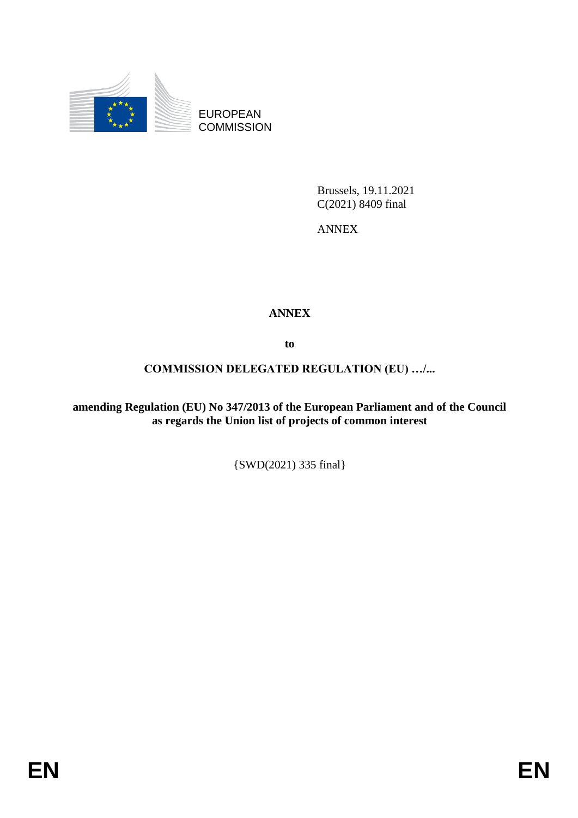

EUROPEAN **COMMISSION** 

> Brussels, 19.11.2021 C(2021) 8409 final

ANNEX

# **ANNEX**

**to**

## **COMMISSION DELEGATED REGULATION (EU) …/...**

**amending Regulation (EU) No 347/2013 of the European Parliament and of the Council as regards the Union list of projects of common interest** 

{SWD(2021) 335 final}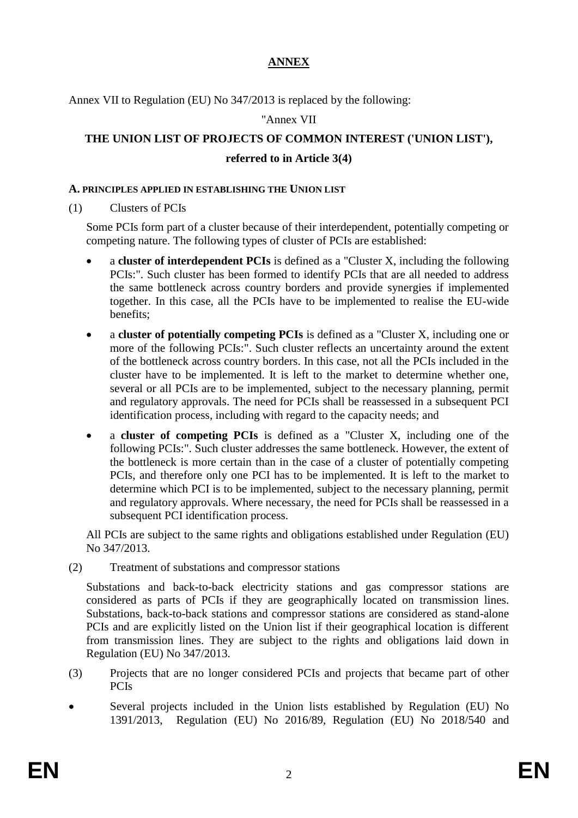# **ANNEX**

Annex VII to Regulation (EU) No 347/2013 is replaced by the following:

"Annex VII

# **THE UNION LIST OF PROJECTS OF COMMON INTEREST ('UNION LIST'),**

## **referred to in Article 3(4)**

#### **A. PRINCIPLES APPLIED IN ESTABLISHING THE UNION LIST**

(1) Clusters of PCIs

Some PCIs form part of a cluster because of their interdependent, potentially competing or competing nature. The following types of cluster of PCIs are established:

- a **cluster of interdependent PCIs** is defined as a "Cluster X, including the following PCIs:". Such cluster has been formed to identify PCIs that are all needed to address the same bottleneck across country borders and provide synergies if implemented together. In this case, all the PCIs have to be implemented to realise the EU-wide benefits;
- a **cluster of potentially competing PCIs** is defined as a "Cluster X, including one or more of the following PCIs:". Such cluster reflects an uncertainty around the extent of the bottleneck across country borders. In this case, not all the PCIs included in the cluster have to be implemented. It is left to the market to determine whether one, several or all PCIs are to be implemented, subject to the necessary planning, permit and regulatory approvals. The need for PCIs shall be reassessed in a subsequent PCI identification process, including with regard to the capacity needs; and
- a **cluster of competing PCIs** is defined as a "Cluster X, including one of the following PCIs:". Such cluster addresses the same bottleneck. However, the extent of the bottleneck is more certain than in the case of a cluster of potentially competing PCIs, and therefore only one PCI has to be implemented. It is left to the market to determine which PCI is to be implemented, subject to the necessary planning, permit and regulatory approvals. Where necessary, the need for PCIs shall be reassessed in a subsequent PCI identification process.

All PCIs are subject to the same rights and obligations established under Regulation (EU) No 347/2013.

(2) Treatment of substations and compressor stations

Substations and back-to-back electricity stations and gas compressor stations are considered as parts of PCIs if they are geographically located on transmission lines. Substations, back-to-back stations and compressor stations are considered as stand-alone PCIs and are explicitly listed on the Union list if their geographical location is different from transmission lines. They are subject to the rights and obligations laid down in Regulation (EU) No 347/2013.

- (3) Projects that are no longer considered PCIs and projects that became part of other PCIs
- Several projects included in the Union lists established by Regulation (EU) No 1391/2013, Regulation (EU) No 2016/89, Regulation (EU) No 2018/540 and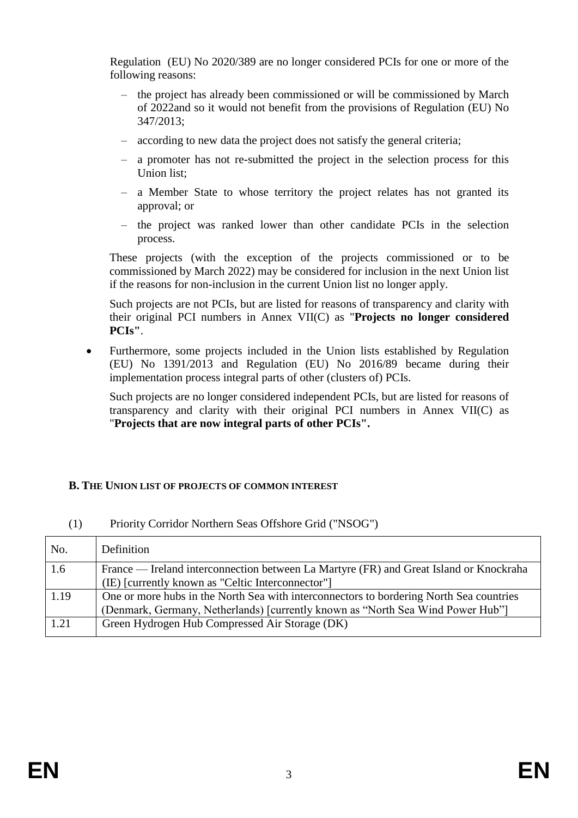Regulation (EU) No 2020/389 are no longer considered PCIs for one or more of the following reasons:

- the project has already been commissioned or will be commissioned by March of 2022and so it would not benefit from the provisions of Regulation (EU) No 347/2013;
- according to new data the project does not satisfy the general criteria;
- a promoter has not re-submitted the project in the selection process for this Union list;
- a Member State to whose territory the project relates has not granted its approval; or
- the project was ranked lower than other candidate PCIs in the selection process.

These projects (with the exception of the projects commissioned or to be commissioned by March 2022) may be considered for inclusion in the next Union list if the reasons for non-inclusion in the current Union list no longer apply.

Such projects are not PCIs, but are listed for reasons of transparency and clarity with their original PCI numbers in Annex VII(C) as "**Projects no longer considered PCIs"**.

• Furthermore, some projects included in the Union lists established by Regulation (EU) No 1391/2013 and Regulation (EU) No 2016/89 became during their implementation process integral parts of other (clusters of) PCIs.

Such projects are no longer considered independent PCIs, but are listed for reasons of transparency and clarity with their original PCI numbers in Annex VII(C) as "**Projects that are now integral parts of other PCIs".**

# **B. THE UNION LIST OF PROJECTS OF COMMON INTEREST**

| No.  | Definition                                                                                                                                                                 |
|------|----------------------------------------------------------------------------------------------------------------------------------------------------------------------------|
| 1.6  | France — Ireland interconnection between La Martyre (FR) and Great Island or Knockraha<br>(IE) [currently known as "Celtic Interconnector"]                                |
| 1.19 | One or more hubs in the North Sea with interconnectors to bordering North Sea countries<br>(Denmark, Germany, Netherlands) [currently known as "North Sea Wind Power Hub"] |
| 1.21 | Green Hydrogen Hub Compressed Air Storage (DK)                                                                                                                             |

#### (1) Priority Corridor Northern Seas Offshore Grid ("NSOG")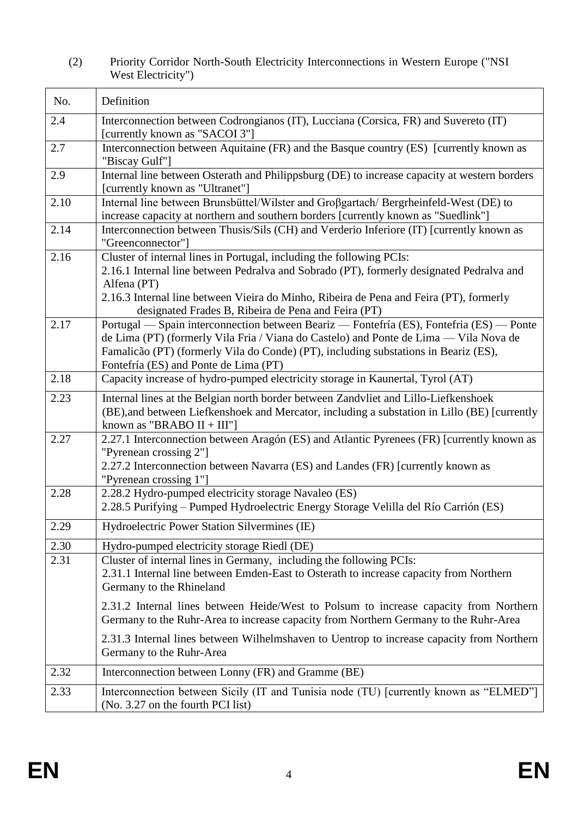# (2) Priority Corridor North-South Electricity Interconnections in Western Europe ("NSI West Electricity")

| No.  | Definition                                                                                                                                                                                                                                                                                                                       |
|------|----------------------------------------------------------------------------------------------------------------------------------------------------------------------------------------------------------------------------------------------------------------------------------------------------------------------------------|
| 2.4  | Interconnection between Codrongianos (IT), Lucciana (Corsica, FR) and Suvereto (IT)<br>[currently known as "SACOI 3"]                                                                                                                                                                                                            |
| 2.7  | Interconnection between Aquitaine (FR) and the Basque country (ES) [currently known as<br>"Biscay Gulf"]                                                                                                                                                                                                                         |
| 2.9  | Internal line between Osterath and Philippsburg (DE) to increase capacity at western borders<br>[currently known as "Ultranet"]                                                                                                                                                                                                  |
| 2.10 | Internal line between Brunsbüttel/Wilster and Großgartach/ Bergrheinfeld-West (DE) to<br>increase capacity at northern and southern borders [currently known as "Suedlink"]                                                                                                                                                      |
| 2.14 | Interconnection between Thusis/Sils (CH) and Verderio Inferiore (IT) [currently known as<br>"Greenconnector"]                                                                                                                                                                                                                    |
| 2.16 | Cluster of internal lines in Portugal, including the following PCIs:<br>2.16.1 Internal line between Pedralva and Sobrado (PT), formerly designated Pedralva and<br>Alfena (PT)<br>2.16.3 Internal line between Vieira do Minho, Ribeira de Pena and Feira (PT), formerly<br>designated Frades B, Ribeira de Pena and Feira (PT) |
| 2.17 | Portugal — Spain interconnection between Beariz — Fontefría (ES), Fontefria (ES) — Ponte<br>de Lima (PT) (formerly Vila Fria / Viana do Castelo) and Ponte de Lima — Vila Nova de<br>Famalicão (PT) (formerly Vila do Conde) (PT), including substations in Beariz (ES),<br>Fontefría (ES) and Ponte de Lima (PT)                |
| 2.18 | Capacity increase of hydro-pumped electricity storage in Kaunertal, Tyrol (AT)                                                                                                                                                                                                                                                   |
| 2.23 | Internal lines at the Belgian north border between Zandvliet and Lillo-Liefkenshoek<br>(BE), and between Liefkenshoek and Mercator, including a substation in Lillo (BE) [currently<br>known as "BRABO $II + III$ "]                                                                                                             |
| 2.27 | 2.27.1 Interconnection between Aragón (ES) and Atlantic Pyrenees (FR) [currently known as<br>"Pyrenean crossing 2"]<br>2.27.2 Interconnection between Navarra (ES) and Landes (FR) [currently known as<br>"Pyrenean crossing 1"]                                                                                                 |
| 2.28 | 2.28.2 Hydro-pumped electricity storage Navaleo (ES)<br>2.28.5 Purifying - Pumped Hydroelectric Energy Storage Velilla del Río Carrión (ES)                                                                                                                                                                                      |
| 2.29 | Hydroelectric Power Station Silvermines (IE)                                                                                                                                                                                                                                                                                     |
| 2.30 | Hydro-pumped electricity storage Riedl (DE)                                                                                                                                                                                                                                                                                      |
| 2.31 | Cluster of internal lines in Germany, including the following PCIs:<br>2.31.1 Internal line between Emden-East to Osterath to increase capacity from Northern<br>Germany to the Rhineland                                                                                                                                        |
|      | 2.31.2 Internal lines between Heide/West to Polsum to increase capacity from Northern<br>Germany to the Ruhr-Area to increase capacity from Northern Germany to the Ruhr-Area                                                                                                                                                    |
|      | 2.31.3 Internal lines between Wilhelmshaven to Uentrop to increase capacity from Northern<br>Germany to the Ruhr-Area                                                                                                                                                                                                            |
| 2.32 | Interconnection between Lonny (FR) and Gramme (BE)                                                                                                                                                                                                                                                                               |
| 2.33 | Interconnection between Sicily (IT and Tunisia node (TU) [currently known as "ELMED"]<br>(No. 3.27 on the fourth PCI list)                                                                                                                                                                                                       |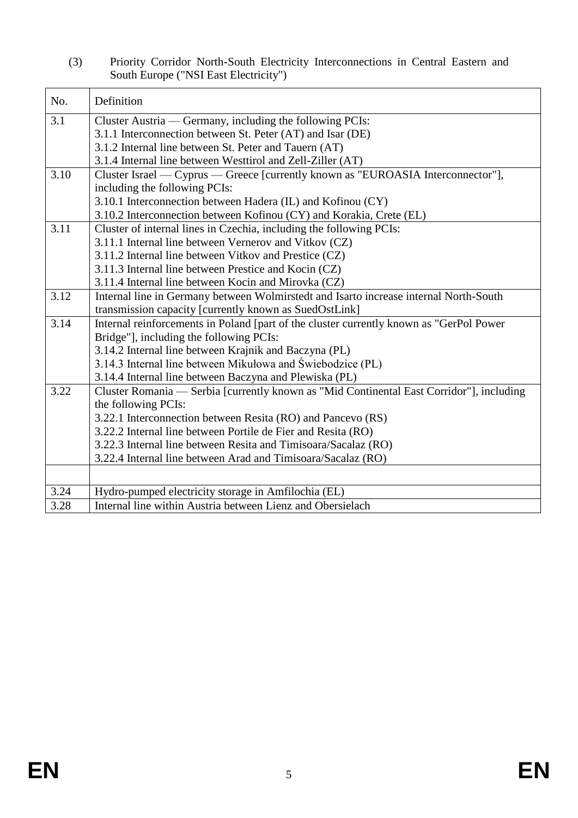(3) Priority Corridor North-South Electricity Interconnections in Central Eastern and South Europe ("NSI East Electricity")

| No.  | Definition                                                                               |
|------|------------------------------------------------------------------------------------------|
| 3.1  | Cluster Austria — Germany, including the following PCIs:                                 |
|      | 3.1.1 Interconnection between St. Peter (AT) and Isar (DE)                               |
|      | 3.1.2 Internal line between St. Peter and Tauern (AT)                                    |
|      | 3.1.4 Internal line between Westtirol and Zell-Ziller (AT)                               |
| 3.10 | Cluster Israel — Cyprus — Greece [currently known as "EUROASIA Interconnector"],         |
|      | including the following PCIs:                                                            |
|      | 3.10.1 Interconnection between Hadera (IL) and Kofinou (CY)                              |
|      | 3.10.2 Interconnection between Kofinou (CY) and Korakia, Crete (EL)                      |
| 3.11 | Cluster of internal lines in Czechia, including the following PCIs:                      |
|      | 3.11.1 Internal line between Vernerov and Vitkov (CZ)                                    |
|      | 3.11.2 Internal line between Vitkov and Prestice (CZ)                                    |
|      | 3.11.3 Internal line between Prestice and Kocin (CZ)                                     |
|      | 3.11.4 Internal line between Kocin and Mirovka (CZ)                                      |
| 3.12 | Internal line in Germany between Wolmirstedt and Isarto increase internal North-South    |
|      | transmission capacity [currently known as SuedOstLink]                                   |
| 3.14 | Internal reinforcements in Poland [part of the cluster currently known as "GerPol Power  |
|      | Bridge"], including the following PCIs:                                                  |
|      | 3.14.2 Internal line between Krajnik and Baczyna (PL)                                    |
|      | 3.14.3 Internal line between Mikułowa and Świebodzice (PL)                               |
|      | 3.14.4 Internal line between Baczyna and Plewiska (PL)                                   |
| 3.22 | Cluster Romania — Serbia [currently known as "Mid Continental East Corridor"], including |
|      | the following PCIs:                                                                      |
|      | 3.22.1 Interconnection between Resita (RO) and Pancevo (RS)                              |
|      | 3.22.2 Internal line between Portile de Fier and Resita (RO)                             |
|      | 3.22.3 Internal line between Resita and Timisoara/Sacalaz (RO)                           |
|      | 3.22.4 Internal line between Arad and Timisoara/Sacalaz (RO)                             |
|      |                                                                                          |
| 3.24 | Hydro-pumped electricity storage in Amfilochia (EL)                                      |
| 3.28 | Internal line within Austria between Lienz and Obersielach                               |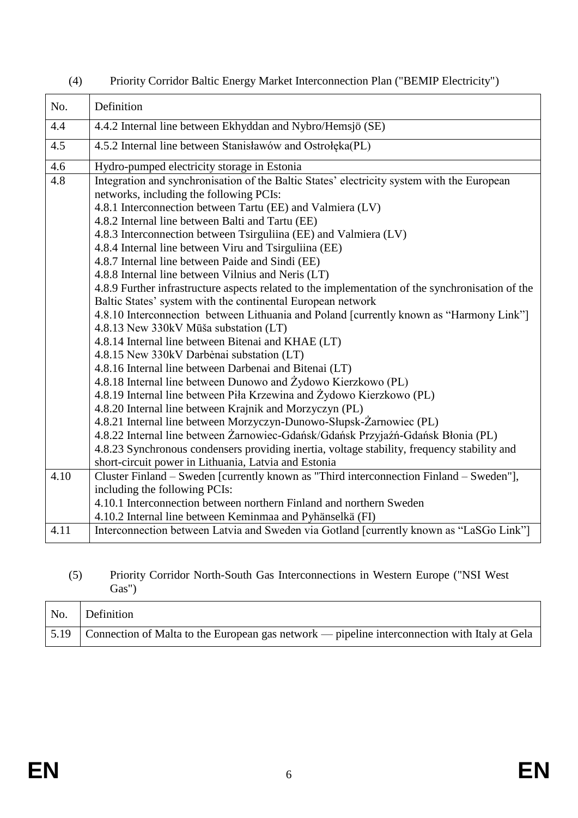| No.  | Definition                                                                                                                            |
|------|---------------------------------------------------------------------------------------------------------------------------------------|
| 4.4  | 4.4.2 Internal line between Ekhyddan and Nybro/Hemsjö (SE)                                                                            |
| 4.5  | 4.5.2 Internal line between Stanisławów and Ostrołęka(PL)                                                                             |
| 4.6  | Hydro-pumped electricity storage in Estonia                                                                                           |
| 4.8  | Integration and synchronisation of the Baltic States' electricity system with the European<br>networks, including the following PCIs: |
|      | 4.8.1 Interconnection between Tartu (EE) and Valmiera (LV)                                                                            |
|      | 4.8.2 Internal line between Balti and Tartu (EE)                                                                                      |
|      | 4.8.3 Interconnection between Tsirguliina (EE) and Valmiera (LV)                                                                      |
|      | 4.8.4 Internal line between Viru and Tsirguliina (EE)                                                                                 |
|      | 4.8.7 Internal line between Paide and Sindi (EE)                                                                                      |
|      | 4.8.8 Internal line between Vilnius and Neris (LT)                                                                                    |
|      | 4.8.9 Further infrastructure aspects related to the implementation of the synchronisation of the                                      |
|      | Baltic States' system with the continental European network                                                                           |
|      | 4.8.10 Interconnection between Lithuania and Poland [currently known as "Harmony Link"]                                               |
|      | 4.8.13 New 330kV Mūša substation (LT)                                                                                                 |
|      | 4.8.14 Internal line between Bitenai and KHAE (LT)<br>4.8.15 New 330kV Darbėnai substation (LT)                                       |
|      | 4.8.16 Internal line between Darbenai and Bitenai (LT)                                                                                |
|      | 4.8.18 Internal line between Dunowo and Żydowo Kierzkowo (PL)                                                                         |
|      | 4.8.19 Internal line between Piła Krzewina and Żydowo Kierzkowo (PL)                                                                  |
|      | 4.8.20 Internal line between Krajnik and Morzyczyn (PL)                                                                               |
|      | 4.8.21 Internal line between Morzyczyn-Dunowo-Słupsk-Żarnowiec (PL)                                                                   |
|      | 4.8.22 Internal line between Żarnowiec-Gdańsk/Gdańsk Przyjaźń-Gdańsk Błonia (PL)                                                      |
|      | 4.8.23 Synchronous condensers providing inertia, voltage stability, frequency stability and                                           |
|      | short-circuit power in Lithuania, Latvia and Estonia                                                                                  |
| 4.10 | Cluster Finland - Sweden [currently known as "Third interconnection Finland - Sweden"],                                               |
|      | including the following PCIs:                                                                                                         |
|      | 4.10.1 Interconnection between northern Finland and northern Sweden                                                                   |
|      | 4.10.2 Internal line between Keminmaa and Pyhänselkä (FI)                                                                             |
| 4.11 | Interconnection between Latvia and Sweden via Gotland [currently known as "LaSGo Link"]                                               |

# (4) Priority Corridor Baltic Energy Market Interconnection Plan ("BEMIP Electricity")

#### (5) Priority Corridor North-South Gas Interconnections in Western Europe ("NSI West Gas")

| No. | Definition                                                                                                       |
|-----|------------------------------------------------------------------------------------------------------------------|
|     | $\mid$ 5.19 $\mid$ Connection of Malta to the European gas network — pipeline interconnection with Italy at Gela |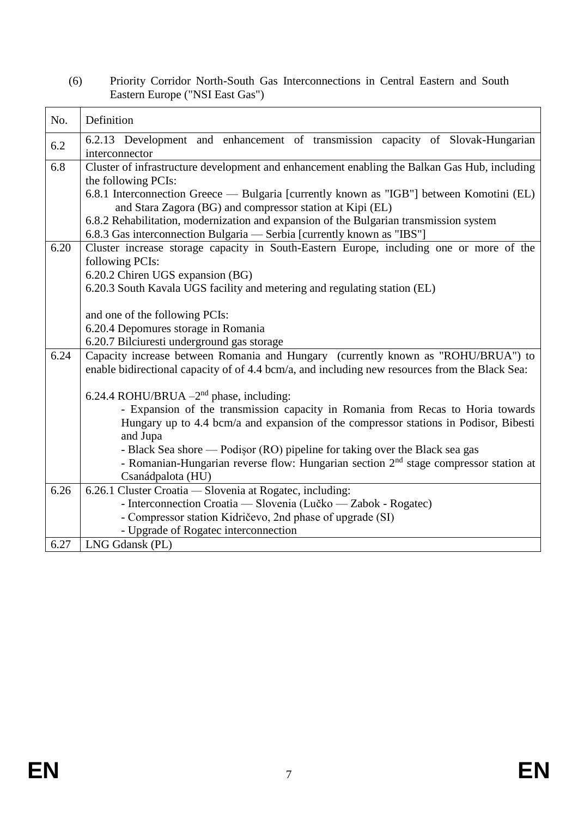| (6) | Priority Corridor North-South Gas Interconnections in Central Eastern and South |
|-----|---------------------------------------------------------------------------------|
|     | Eastern Europe ("NSI East Gas")                                                 |

| No.  | Definition                                                                                        |
|------|---------------------------------------------------------------------------------------------------|
| 6.2  | 6.2.13 Development and enhancement of transmission capacity of Slovak-Hungarian<br>interconnector |
| 6.8  | Cluster of infrastructure development and enhancement enabling the Balkan Gas Hub, including      |
|      | the following PCIs:                                                                               |
|      | 6.8.1 Interconnection Greece — Bulgaria [currently known as "IGB"] between Komotini (EL)          |
|      | and Stara Zagora (BG) and compressor station at Kipi (EL)                                         |
|      | 6.8.2 Rehabilitation, modernization and expansion of the Bulgarian transmission system            |
|      | 6.8.3 Gas interconnection Bulgaria - Serbia [currently known as "IBS"]                            |
| 6.20 | Cluster increase storage capacity in South-Eastern Europe, including one or more of the           |
|      | following PCIs:                                                                                   |
|      | 6.20.2 Chiren UGS expansion (BG)                                                                  |
|      | 6.20.3 South Kavala UGS facility and metering and regulating station (EL)                         |
|      |                                                                                                   |
|      | and one of the following PCIs:<br>6.20.4 Depomures storage in Romania                             |
|      | 6.20.7 Bilciuresti underground gas storage                                                        |
| 6.24 | Capacity increase between Romania and Hungary (currently known as "ROHU/BRUA") to                 |
|      | enable bidirectional capacity of of 4.4 bcm/a, and including new resources from the Black Sea:    |
|      |                                                                                                   |
|      | 6.24.4 ROHU/BRUA $-2nd$ phase, including:                                                         |
|      | - Expansion of the transmission capacity in Romania from Recas to Horia towards                   |
|      | Hungary up to 4.4 bcm/a and expansion of the compressor stations in Podisor, Bibesti              |
|      | and Jupa                                                                                          |
|      | - Black Sea shore — Podișor (RO) pipeline for taking over the Black sea gas                       |
|      | - Romanian-Hungarian reverse flow: Hungarian section 2 <sup>nd</sup> stage compressor station at  |
|      | Csanádpalota (HU)                                                                                 |
| 6.26 | 6.26.1 Cluster Croatia - Slovenia at Rogatec, including:                                          |
|      | - Interconnection Croatia — Slovenia (Lučko — Zabok - Rogatec)                                    |
|      | - Compressor station Kidričevo, 2nd phase of upgrade (SI)                                         |
|      | - Upgrade of Rogatec interconnection                                                              |
| 6.27 | LNG Gdansk (PL)                                                                                   |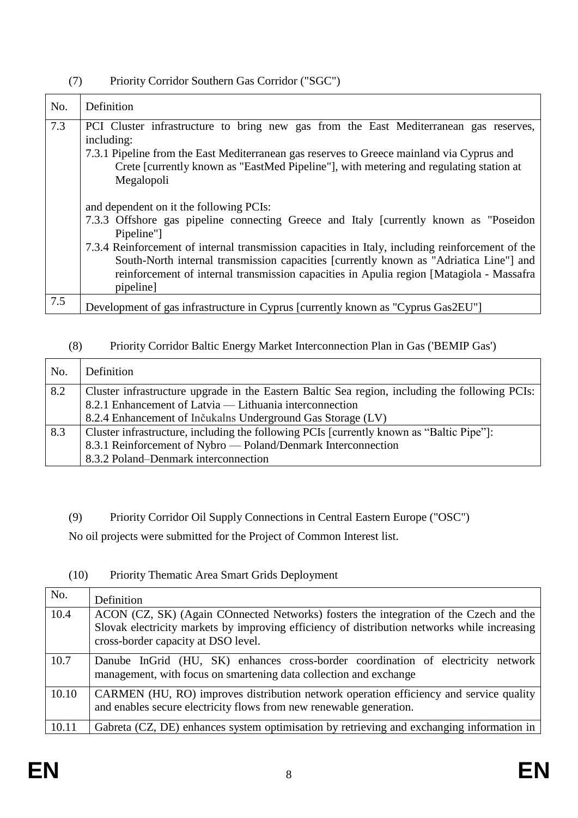| No. | Definition                                                                                                                                                                                                                                                                                                                                                                                                                                              |
|-----|---------------------------------------------------------------------------------------------------------------------------------------------------------------------------------------------------------------------------------------------------------------------------------------------------------------------------------------------------------------------------------------------------------------------------------------------------------|
| 7.3 | PCI Cluster infrastructure to bring new gas from the East Mediterranean gas reserves,<br>including:<br>7.3.1 Pipeline from the East Mediterranean gas reserves to Greece mainland via Cyprus and<br>Crete [currently known as "EastMed Pipeline"], with metering and regulating station at<br>Megalopoli                                                                                                                                                |
|     | and dependent on it the following PCIs:<br>7.3.3 Offshore gas pipeline connecting Greece and Italy [currently known as "Poseidon"<br>Pipeline"]<br>7.3.4 Reinforcement of internal transmission capacities in Italy, including reinforcement of the<br>South-North internal transmission capacities [currently known as "Adriatica Line"] and<br>reinforcement of internal transmission capacities in Apulia region [Matagiola - Massafra]<br>pipeline] |
| 7.5 | Development of gas infrastructure in Cyprus [currently known as "Cyprus Gas2EU"]                                                                                                                                                                                                                                                                                                                                                                        |

#### (7) Priority Corridor Southern Gas Corridor ("SGC")

## (8) Priority Corridor Baltic Energy Market Interconnection Plan in Gas ('BEMIP Gas')

| No. | Definition                                                                                     |
|-----|------------------------------------------------------------------------------------------------|
| 8.2 | Cluster infrastructure upgrade in the Eastern Baltic Sea region, including the following PCIs: |
|     | 8.2.1 Enhancement of Latvia — Lithuania interconnection                                        |
|     | 8.2.4 Enhancement of Inčukalns Underground Gas Storage (LV)                                    |
| 8.3 | Cluster infrastructure, including the following PCIs [currently known as "Baltic Pipe"]:       |
|     | 8.3.1 Reinforcement of Nybro — Poland/Denmark Interconnection                                  |
|     | 8.3.2 Poland–Denmark interconnection                                                           |

(9) Priority Corridor Oil Supply Connections in Central Eastern Europe ("OSC")

No oil projects were submitted for the Project of Common Interest list.

# No. Definition 10.4 ACON (CZ, SK) (Again COnnected Networks) fosters the integration of the Czech and the Slovak electricity markets by improving efficiency of distribution networks while increasing cross-border capacity at DSO level. 10.7 Danube InGrid (HU, SK) enhances cross-border coordination of electricity network management, with focus on smartening data collection and exchange 10.10 CARMEN (HU, RO) improves distribution network operation efficiency and service quality and enables secure electricity flows from new renewable generation. 10.11 Gabreta (CZ, DE) enhances system optimisation by retrieving and exchanging information in

# (10) Priority Thematic Area Smart Grids Deployment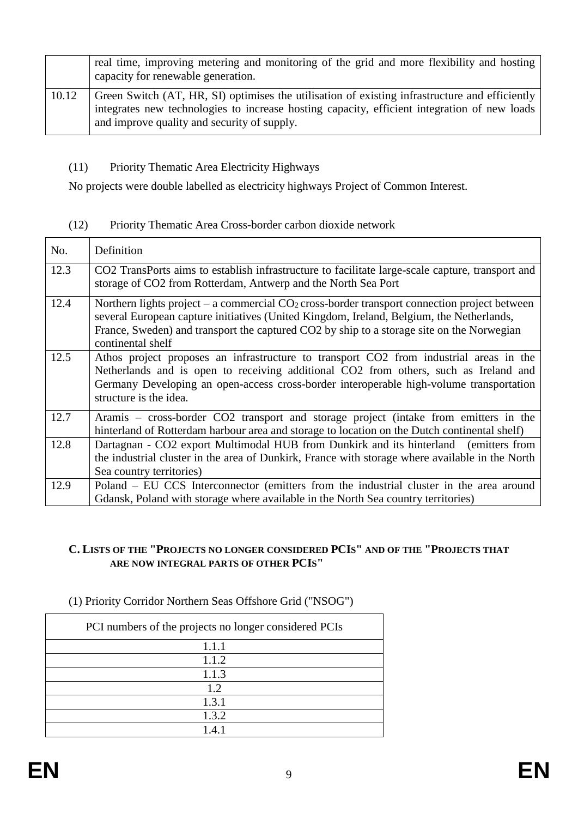|       | real time, improving metering and monitoring of the grid and more flexibility and hosting<br>capacity for renewable generation.                                                                                                               |
|-------|-----------------------------------------------------------------------------------------------------------------------------------------------------------------------------------------------------------------------------------------------|
| 10.12 | Green Switch (AT, HR, SI) optimises the utilisation of existing infrastructure and efficiently<br>integrates new technologies to increase hosting capacity, efficient integration of new loads<br>and improve quality and security of supply. |

#### (11) Priority Thematic Area Electricity Highways

No projects were double labelled as electricity highways Project of Common Interest.

#### (12) Priority Thematic Area Cross-border carbon dioxide network

| No.  | Definition                                                                                                                                                                                                                                                                                                   |
|------|--------------------------------------------------------------------------------------------------------------------------------------------------------------------------------------------------------------------------------------------------------------------------------------------------------------|
| 12.3 | CO2 Transports aims to establish infrastructure to facilitate large-scale capture, transport and<br>storage of CO2 from Rotterdam, Antwerp and the North Sea Port                                                                                                                                            |
| 12.4 | Northern lights project – a commercial $CO2$ cross-border transport connection project between<br>several European capture initiatives (United Kingdom, Ireland, Belgium, the Netherlands,<br>France, Sweden) and transport the captured CO2 by ship to a storage site on the Norwegian<br>continental shelf |
| 12.5 | Athos project proposes an infrastructure to transport CO2 from industrial areas in the<br>Netherlands and is open to receiving additional CO2 from others, such as Ireland and<br>Germany Developing an open-access cross-border interoperable high-volume transportation<br>structure is the idea.          |
| 12.7 | Aramis – cross-border CO2 transport and storage project (intake from emitters in the<br>hinterland of Rotterdam harbour area and storage to location on the Dutch continental shelf)                                                                                                                         |
| 12.8 | Dartagnan - CO2 export Multimodal HUB from Dunkirk and its hinterland (emitters from<br>the industrial cluster in the area of Dunkirk, France with storage where available in the North<br>Sea country territories)                                                                                          |
| 12.9 | Poland – EU CCS Interconnector (emitters from the industrial cluster in the area around<br>Gdansk, Poland with storage where available in the North Sea country territories)                                                                                                                                 |

#### **C. LISTS OF THE "PROJECTS NO LONGER CONSIDERED PCIS" AND OF THE "PROJECTS THAT ARE NOW INTEGRAL PARTS OF OTHER PCIS"**

#### (1) Priority Corridor Northern Seas Offshore Grid ("NSOG")

| PCI numbers of the projects no longer considered PCIs |
|-------------------------------------------------------|
| 1.1.1                                                 |
| 1.1.2                                                 |
| 1.1.3                                                 |
| 1.2                                                   |
| 1.3.1                                                 |
| 1.3.2                                                 |
| 41                                                    |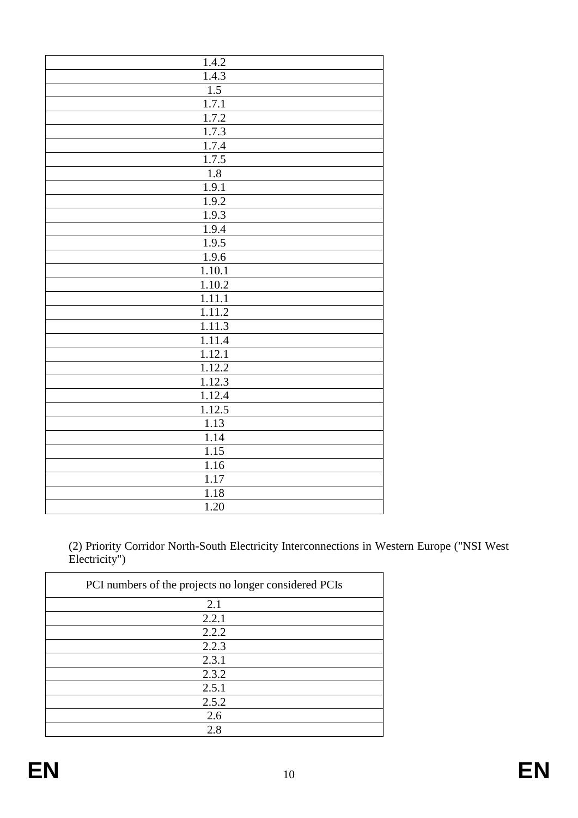| 1.4.2               |
|---------------------|
| 1.4.3               |
| 1.5                 |
| 1.7.1               |
| 1.7.2               |
| 1.7.3               |
| 1.7.4               |
| 1.7.5               |
| 1.8                 |
| 1.9.1               |
| 1.9.2               |
| 1.9.3               |
| 1.9.4               |
| 1.9.5               |
| 1.9.6               |
| 1.10.1              |
| 1.10.2              |
| 1.11.1              |
| 1.11.2              |
| 1.11.3              |
| 1.11.4              |
| $1.\overline{12.1}$ |
| 1.12.2              |
| 1.12.3              |
| 1.12.4              |
| 1.12.5              |
| 1.13                |
| 1.14                |
| 1.15                |
| 1.16                |
| 1.17                |
| 1.18                |
| 1.20                |
|                     |

(2) Priority Corridor North-South Electricity Interconnections in Western Europe ("NSI West Electricity")

| PCI numbers of the projects no longer considered PCIs |
|-------------------------------------------------------|
| 2.1                                                   |
| 2.2.1                                                 |
| 2.2.2                                                 |
| 2.2.3                                                 |
| 2.3.1                                                 |
| 2.3.2                                                 |
| 2.5.1                                                 |
| 2.5.2                                                 |
| 2.6                                                   |
| 2.8                                                   |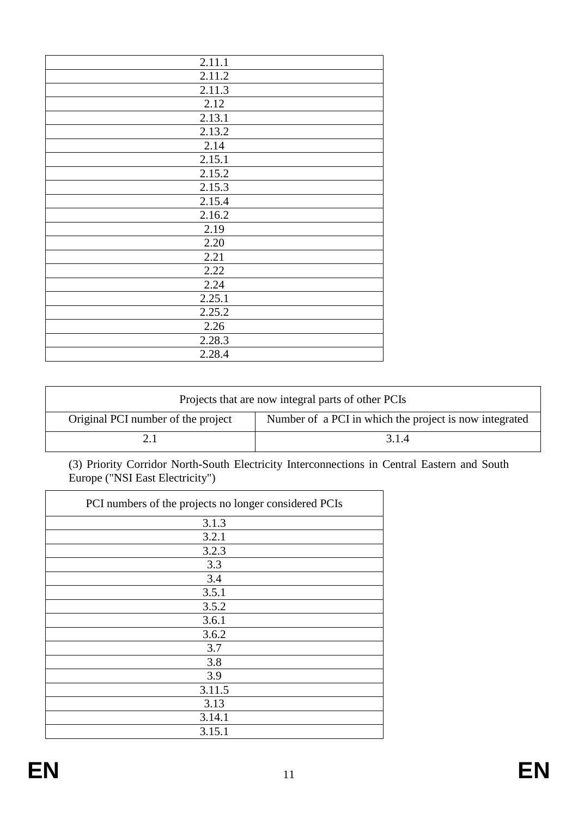| 2.11.1 |
|--------|
| 2.11.2 |
| 2.11.3 |
| 2.12   |
| 2.13.1 |
| 2.13.2 |
| 2.14   |
| 2.15.1 |
| 2.15.2 |
| 2.15.3 |
| 2.15.4 |
| 2.16.2 |
| 2.19   |
| 2.20   |
| 2.21   |
| 2.22   |
| 2.24   |
| 2.25.1 |
| 2.25.2 |
| 2.26   |
| 2.28.3 |
| 2.28.4 |
|        |

| Projects that are now integral parts of other PCIs |                                                        |
|----------------------------------------------------|--------------------------------------------------------|
| Original PCI number of the project                 | Number of a PCI in which the project is now integrated |
|                                                    | 3.1.4                                                  |

(3) Priority Corridor North-South Electricity Interconnections in Central Eastern and South Europe ("NSI East Electricity")

| PCI numbers of the projects no longer considered PCIs |
|-------------------------------------------------------|
| 3.1.3                                                 |
| 3.2.1                                                 |
| 3.2.3                                                 |
| 3.3                                                   |
| 3.4                                                   |
| 3.5.1                                                 |
| 3.5.2                                                 |
| 3.6.1                                                 |
| 3.6.2                                                 |
| 3.7                                                   |
| 3.8                                                   |
| 3.9                                                   |
| 3.11.5                                                |
| 3.13                                                  |
| 3.14.1                                                |
| 3.15.1                                                |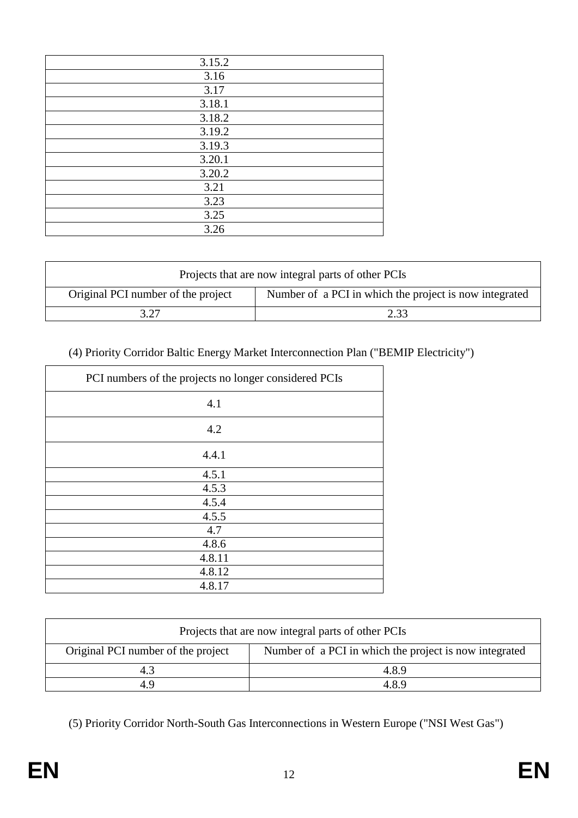| 3.15.2 |
|--------|
| 3.16   |
| 3.17   |
| 3.18.1 |
| 3.18.2 |
| 3.19.2 |
| 3.19.3 |
| 3.20.1 |
| 3.20.2 |
| 3.21   |
| 3.23   |
| 3.25   |
| 3.26   |

| Projects that are now integral parts of other PCIs |                                                        |
|----------------------------------------------------|--------------------------------------------------------|
| Original PCI number of the project                 | Number of a PCI in which the project is now integrated |
|                                                    | 2.33                                                   |

# (4) Priority Corridor Baltic Energy Market Interconnection Plan ("BEMIP Electricity")

| PCI numbers of the projects no longer considered PCIs |
|-------------------------------------------------------|
| 4.1                                                   |
| 4.2                                                   |
| 4.4.1                                                 |
| 4.5.1                                                 |
| 4.5.3                                                 |
| 4.5.4                                                 |
| 4.5.5                                                 |
| 4.7                                                   |
| 4.8.6                                                 |
| 4.8.11                                                |
| 4.8.12                                                |
| 4.8.17                                                |

| Projects that are now integral parts of other PCIs |                                                        |
|----------------------------------------------------|--------------------------------------------------------|
| Original PCI number of the project                 | Number of a PCI in which the project is now integrated |
| 4.3                                                | 4.8.9                                                  |
| 49                                                 | 4.8.9                                                  |

(5) Priority Corridor North-South Gas Interconnections in Western Europe ("NSI West Gas")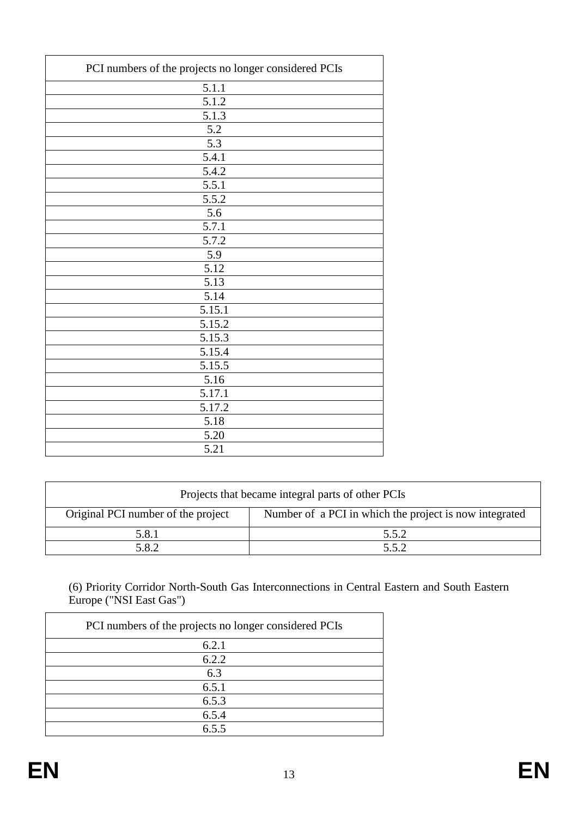| PCI numbers of the projects no longer considered PCIs |
|-------------------------------------------------------|
| 5.1.1                                                 |
| 5.1.2                                                 |
| 5.1.3                                                 |
| 5.2                                                   |
| 5.3                                                   |
| 5.4.1                                                 |
| 5.4.2                                                 |
| 5.5.1                                                 |
| 5.5.2                                                 |
| 5.6                                                   |
| 5.7.1                                                 |
| 5.7.2                                                 |
| 5.9                                                   |
| $\overline{5.12}$                                     |
| 5.13                                                  |
| 5.14                                                  |
| 5.15.1                                                |
| 5.15.2                                                |
| 5.15.3                                                |
| 5.15.4                                                |
| 5.15.5                                                |
| 5.16                                                  |
| 5.17.1                                                |
| 5.17.2                                                |
| 5.18                                                  |
| 5.20                                                  |
| 5.21                                                  |

| Projects that became integral parts of other PCIs |                                                        |
|---------------------------------------------------|--------------------------------------------------------|
| Original PCI number of the project                | Number of a PCI in which the project is now integrated |
| 5.8.1                                             | 5.5.2                                                  |
| 5.8.2                                             | 552                                                    |

(6) Priority Corridor North-South Gas Interconnections in Central Eastern and South Eastern Europe ("NSI East Gas")

| PCI numbers of the projects no longer considered PCIs |
|-------------------------------------------------------|
| 6.2.1                                                 |
| 6.2.2                                                 |
| 6.3                                                   |
| 6.5.1                                                 |
| 6.5.3                                                 |
| 6.5.4                                                 |
| 655                                                   |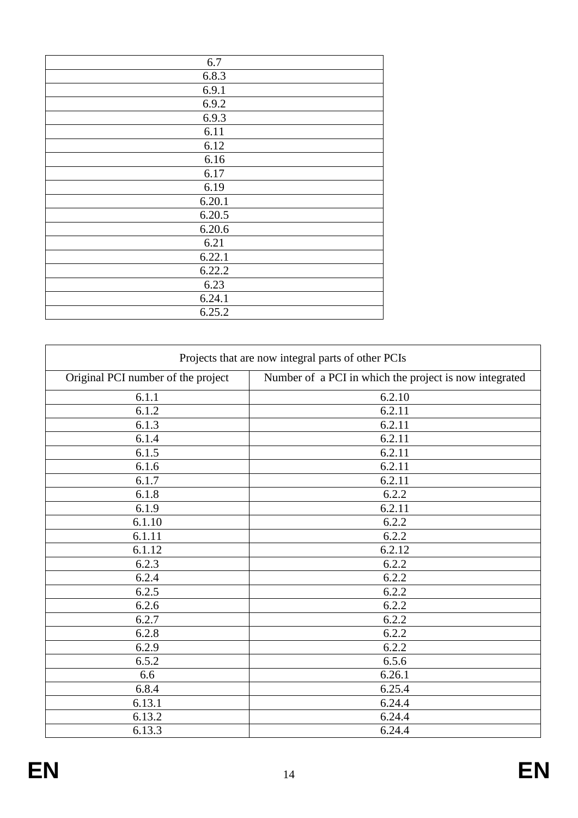| 6.7    |
|--------|
| 6.8.3  |
| 6.9.1  |
| 6.9.2  |
| 6.9.3  |
| 6.11   |
| 6.12   |
| 6.16   |
| 6.17   |
| 6.19   |
| 6.20.1 |
| 6.20.5 |
| 6.20.6 |
| 6.21   |
| 6.22.1 |
| 6.22.2 |
| 6.23   |
| 6.24.1 |
| 6.25.2 |
|        |

| Projects that are now integral parts of other PCIs |                                                        |
|----------------------------------------------------|--------------------------------------------------------|
| Original PCI number of the project                 | Number of a PCI in which the project is now integrated |
| 6.1.1                                              | 6.2.10                                                 |
| 6.1.2                                              | 6.2.11                                                 |
| 6.1.3                                              | 6.2.11                                                 |
| 6.1.4                                              | 6.2.11                                                 |
| 6.1.5                                              | 6.2.11                                                 |
| 6.1.6                                              | 6.2.11                                                 |
| 6.1.7                                              | 6.2.11                                                 |
| 6.1.8                                              | 6.2.2                                                  |
| 6.1.9                                              | 6.2.11                                                 |
| 6.1.10                                             | 6.2.2                                                  |
| 6.1.11                                             | 6.2.2                                                  |
| 6.1.12                                             | 6.2.12                                                 |
| 6.2.3                                              | 6.2.2                                                  |
| 6.2.4                                              | 6.2.2                                                  |
| 6.2.5                                              | 6.2.2                                                  |
| 6.2.6                                              | 6.2.2                                                  |
| 6.2.7                                              | 6.2.2                                                  |
| 6.2.8                                              | 6.2.2                                                  |
| 6.2.9                                              | 6.2.2                                                  |
| 6.5.2                                              | 6.5.6                                                  |
| 6.6                                                | 6.26.1                                                 |
| 6.8.4                                              | 6.25.4                                                 |
| 6.13.1                                             | 6.24.4                                                 |
| 6.13.2                                             | 6.24.4                                                 |
| 6.13.3                                             | 6.24.4                                                 |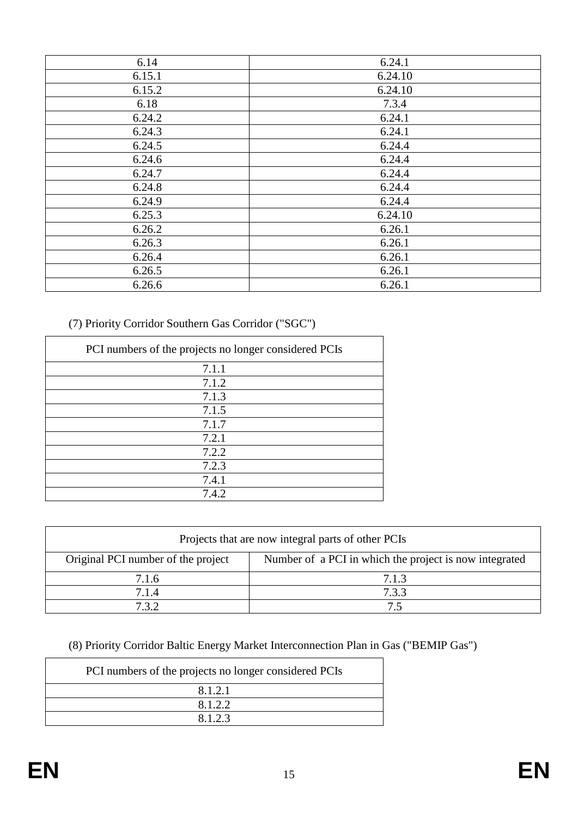| 6.14   | 6.24.1  |
|--------|---------|
| 6.15.1 | 6.24.10 |
| 6.15.2 | 6.24.10 |
| 6.18   | 7.3.4   |
| 6.24.2 | 6.24.1  |
| 6.24.3 | 6.24.1  |
| 6.24.5 | 6.24.4  |
| 6.24.6 | 6.24.4  |
| 6.24.7 | 6.24.4  |
| 6.24.8 | 6.24.4  |
| 6.24.9 | 6.24.4  |
| 6.25.3 | 6.24.10 |
| 6.26.2 | 6.26.1  |
| 6.26.3 | 6.26.1  |
| 6.26.4 | 6.26.1  |
| 6.26.5 | 6.26.1  |
| 6.26.6 | 6.26.1  |

(7) Priority Corridor Southern Gas Corridor ("SGC")

| PCI numbers of the projects no longer considered PCIs |
|-------------------------------------------------------|
| 7.1.1                                                 |
| 7.1.2                                                 |
| 7.1.3                                                 |
| 7.1.5                                                 |
| 7.1.7                                                 |
| 7.2.1                                                 |
| 7.2.2                                                 |
| 7.2.3                                                 |
| 7.4.1                                                 |
| 7.4.2                                                 |

| Projects that are now integral parts of other PCIs |                                                        |
|----------------------------------------------------|--------------------------------------------------------|
| Original PCI number of the project                 | Number of a PCI in which the project is now integrated |
| 7.1.6                                              | 7.1.3                                                  |
| 7.1.4                                              | 7.3.3                                                  |
| 732                                                | 75                                                     |

(8) Priority Corridor Baltic Energy Market Interconnection Plan in Gas ("BEMIP Gas")

| PCI numbers of the projects no longer considered PCIs |
|-------------------------------------------------------|
| 8.1.2.1                                               |
| 8.1.2.2                                               |
| 8123                                                  |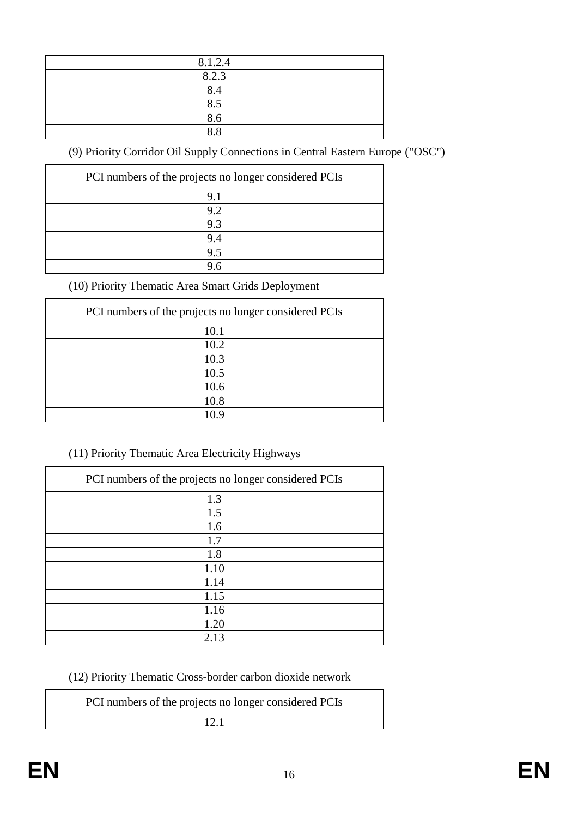| 8.1.2.4        |
|----------------|
| 8.2.3          |
| 8.4            |
| 8.5            |
| 8.6            |
| $\overline{R}$ |

(9) Priority Corridor Oil Supply Connections in Central Eastern Europe ("OSC")

| PCI numbers of the projects no longer considered PCIs |
|-------------------------------------------------------|
| 9.1                                                   |
| 9.2                                                   |
| 9.3                                                   |
| 9.4                                                   |
| 9.5                                                   |
| 96                                                    |

(10) Priority Thematic Area Smart Grids Deployment

| PCI numbers of the projects no longer considered PCIs |
|-------------------------------------------------------|
| 10.1                                                  |
| 10.2                                                  |
| 10.3                                                  |
| 10.5                                                  |
| 10.6                                                  |
| 10.8                                                  |
| 10 9                                                  |

# (11) Priority Thematic Area Electricity Highways

| PCI numbers of the projects no longer considered PCIs |
|-------------------------------------------------------|
| 1.3                                                   |
| 1.5                                                   |
| 1.6                                                   |
| 1.7                                                   |
| 1.8                                                   |
| 1.10                                                  |
| 1.14                                                  |
| 1.15                                                  |
| 1.16                                                  |
| 1.20                                                  |
| 2.13                                                  |

(12) Priority Thematic Cross-border carbon dioxide network

| PCI numbers of the projects no longer considered PCIs |  |
|-------------------------------------------------------|--|
| 12.1                                                  |  |